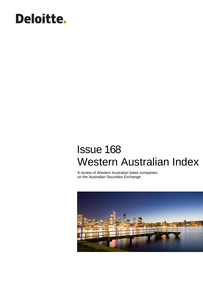# **Deloitte.**

## Issue 168 Western Australian Index

A review of Western Australian listed companies on the Australian Securities Exchange

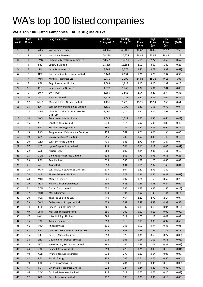## WA's top 100 listed companies

### **WA's Top 100 Listed Companies – at 31 August 2017:**

| <b>This</b><br><b>Month</b> | Last<br>Month  | <b>ASX</b>        | <b>Long Comp Name</b>                         | <b>Mkt Cap</b><br>31 August 17 | <b>Mkt Cap</b><br>31 July 17 | Last<br>Price<br>(mth) | <b>High</b><br>Price<br>(yr) | Low<br>Price<br>(yr) | <b>EPS</b><br>(PoAb) |
|-----------------------------|----------------|-------------------|-----------------------------------------------|--------------------------------|------------------------------|------------------------|------------------------------|----------------------|----------------------|
| $\mathbf{1}$                | $\mathbf{1}$   | <b>WES</b>        | <b>Wesfarmers Limited</b>                     | 48,324                         | 46,181                       | 42.62                  | 46.06                        | 39.52                | 2.55                 |
| $\mathbf{2}$                | $\overline{2}$ | <b>WPL</b>        | Woodside Petroleum Ltd.                       | 24,288                         | 24,574                       | 28.83                  | 33.97                        | 26.48                | 1.23                 |
| $\overline{\mathbf{3}}$     | 3              | <b>FMG</b>        | Fortescue Metals Group Limited                | 18,699                         | 17,850                       | 6.01                   | 7.27                         | 4.52                 | 0.67                 |
| 4                           | 4              | <b>S32</b>        | South32 Limited                               | 15,236                         | 15,184                       | 2.92                   | 3.09                         | 1.89                 | 0.23                 |
| 5                           | 5              | <b>ILU</b>        | Iluka Resources Ltd.                          | 3,965                          | 3,773                        | 9.47                   | 9.78                         | 5.32                 | (0.67)               |
| 6                           | 6              | <b>NST</b>        | Northern Star Resources Limited               | 3,143                          | 2,654                        | 5.21                   | 5.29                         | 2.97                 | 0.36                 |
| $\overline{\mathbf{z}}$     | $\overline{7}$ | <b>MIN</b>        | <b>Mineral Resources Ltd</b>                  | 2,770                          | 2,299                        | 14.83                  | 15.28                        | 9.15                 | 1.08                 |
| 8                           | 8              | RRL               | Regis Resources Limited                       | 2,083                          | 1,919                        | 4.15                   | 4.20                         | 2.32                 | 0.28                 |
| 9                           | 11             | <b>IGO</b>        | Independence Group NL                         | 1,977                          | 1,766                        | 3.37                   | 5.01                         | 2.84                 | 0.03                 |
| 10                          | 9              | <b>BWP</b>        | <b>BWP Trust</b>                              | 1,889                          | 1,863                        | 2.94                   | 3.29                         | 2.74                 | 0.35                 |
| 11                          | 10             | <b>NVT</b>        | Navitas Limited                               | 1,615                          | 1,781                        | 4.51                   | 5.39                         | 4.02                 | 0.22                 |
| 12                          | 12             | <b>MND</b>        | Monadelphous Group Limited                    | 1,431                          | 1,429                        | 15.25                  | 15.94                        | 7.66                 | 0.61                 |
| 13                          | 15             | SAR               | Saracen Mineral Holdings Limited              | 1,110                          | 1,090                        | 1.37                   | 1.55                         | 0.79                 | 0.04                 |
| 14                          | 13             | AHG               | AUTOMOTIVE HOLDINGS GROUP<br>LIMITED          | 1,061                          | 1,270                        | 3.20                   | 4.72                         | 2.91                 | 0.17                 |
| 15                          | 14             | <b>SWM</b>        | Seven West Media Limited                      | 1,048                          | 1,221                        | 0.70                   | 0.86                         | 0.64                 | (0.49)               |
| 16                          | 16             | <b>SFR</b>        | Sandfire Resources NL                         | 934                            | 914                          | 5.92                   | 6.99                         | 4.88                 | 0.49                 |
| 17                          | 17             | <b>RSG</b>        | <b>Resolute Mining Limited</b>                | 892                            | 789                          | 1.21                   | 2.35                         | 0.94                 | 0.19                 |
| 18                          | 18             | PRG               | Programmed Maintenance Services Ltd.          | 775                            | 767                          | 3.01                   | 3.06                         | 1.34                 | 0.05                 |
| 19                          | 19             | <b>GXY</b>        | <b>Galaxy Resources Limited</b>               | 756                            | 732                          | 1.90                   | 3.48                         | 1.43                 | 0.15                 |
| 20                          | 20             | <b>WSA</b>        | Western Areas Limited                         | 736                            | 646                          | 2.70                   | 3.44                         | 1.87                 | 0.07                 |
| 21                          | 27             | <b>LYC</b>        | Lynas Corporation Limited                     | 714                            | 504                          | 0.16                   | 0.17                         | 0.05                 | (0.01)               |
| 22                          | 22             | ASL               | Ausdrill Ltd.                                 | 669                            | 607                          | 2.14                   | 2.41                         | 1.11                 | 0.10                 |
| 23                          | 25             | <b>GOR</b>        | <b>Gold Road Resources Limited</b>            | 638                            | 563                          | 0.73                   | 0.75                         | 0.51                 | 0.28                 |
| 24                          | 23             | PPC               | Peet Limited                                  | 598                            | 583                          | 1.22                   | 1.25                         | 0.85                 | 0.09                 |
| 25                          | 21             | ASB               | Austal Ltd.                                   | 598                            | 631                          | 1.71                   | 2.02                         | 1.40                 | 0.04                 |
| 26                          | 26             | WGX               | <b>WESTGOLD RESOURCES LIMITED.</b>            | 577                            | 504                          | 1.80                   | 2.71                         | 1.40                 | $\omega$             |
| 27                          | 24             | <b>PLS</b>        | Pilbara Minerals Limited                      | 553                            | 572                          | 0.36                   | 0.60                         | 0.31                 | (0.02)               |
| 28                          | 28             | <b>MLX</b>        | Metals X Limited                              | 521                            | 497                          | 0.86                   | 1.63                         | 0.52                 | 0.23                 |
| 29                          | 29             | <b>MGX</b>        | Mount Gibson Iron Limited                     | 504                            | 488                          | 0.46                   | 0.58                         | 0.27                 | 0.02                 |
| 30                          | 31             | <b>DCN</b>        | Dacian Gold Limited                           | 452                            | 396                          | 2.23                   | 3.95                         | 1.50                 | (0.23)               |
| 31                          | 32             | <b>MLD</b>        | <b>MACA Limited</b>                           | 449                            | 394                          | 1.92                   | 1.95                         | 1.44                 | 0.14                 |
| 32                          | 30             | <b>TOX</b>        | Tox Free Solutions Ltd.                       | 440                            | 464                          | 2.27                   | 2.79                         | 2.14                 | 0.07                 |
| 33                          | 33             | <b>CWP</b>        | Cedar Woods Properties Ltd.                   | 433                            | 387                          | 5.49                   | 5.88                         | 4.37                 | 0.58                 |
| 34                          | 34             | EHL               | <b>Emeco Holdings Limited</b>                 | 401                            | 337                          | 0.18                   | 0.19                         | 0.04                 | (0.19)               |
| 35                          | 49             | <b>MAH</b>        | MacMahon Holdings Ltd.                        | 396                            | 202                          | 0.19                   | 0.19                         | 0.09                 | (0.02)               |
| 36                          | 47             | <b>NWH</b>        | NRW Holdings Limited                          | 384                            | 211                          | 1.07                   | 1.18                         | 0.49                 | 0.09                 |
| 37<br>38                    | 36<br>41       | <b>TBR</b><br>IMD | <b>Tribune Resources Ltd</b><br>Imdex Limited | 358<br>331                     | 310<br>268                   | 7.15<br>0.90           | 8.00<br>0.94                 | 4.92<br>0.48         | 0.65<br>0.01         |
| 39                          | 37             | AFG               | AUSTRALIAN FINANCE GROUP LTD                  | 329                            | 308                          | 1.53                   | 1.65                         | 1.15                 | 0.18                 |
| 40                          | 35             | PRU               | Perseus Mining Limited                        | 310                            | 325                          | 0.30                   | 0.68                         | 0.27                 | (0.08)               |
| 41                          | 38             | <b>LNG</b>        | Liquefied Natural Gas Limited                 | 274                            | 308                          | 0.54                   | 1.01                         | 0.51                 | (0.06)               |
| 42                          | 75             | <b>NCZ</b>        | New Century Resources Limited                 | 263                            | 140                          | 0.89                   | 1.09                         | 0.31                 | (0.02)               |
| 43                          | 44             | <b>BDR</b>        | <b>Beadell Resources Ltd</b>                  | 259                            | 228                          | 0.21                   | 0.49                         | 0.18                 | (0.01)               |
| 44                          | 40             | AVB               | Avanco Resources Limited                      | 238                            | 270                          | 0.10                   | 0.14                         | 0.05                 | 0.00                 |
| 45                          | 42             | PEA               | Pacific Energy Ltd.                           | 238                            | 245                          | 0.64                   | 0.77                         | 0.50                 | 0.04                 |
| 46                          | 39             | EDE               | Eden Innovations Ltd                          | 234                            | 284                          | 0.19                   | 0.36                         | 0.18                 | (0.00)               |
| 47                          | 45             | <b>SLR</b>        | Silver Lake Resources Limited                 | 222                            | 224                          | 0.44                   | 0.80                         | 0.43                 | 0.00                 |
| 48                          | 46             | CDV               | Cardinal Resources Limited                    | 216                            | 217                          | 0.62                   | 0.77                         | 0.20                 | (0.09)               |
| 49                          | 52             | <b>BSE</b>        | <b>Base Resources Limited</b>                 | 212                            | 193                          | 0.29                   | 0.36                         | 0.13                 | 0.03                 |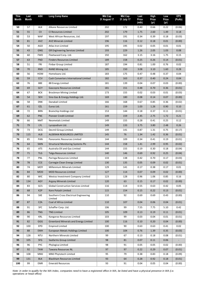| <b>This</b><br><b>Month</b> | Last<br>Month | <b>ASX</b>       | <b>Long Comp Name</b>                       | <b>Mkt Cap</b><br>31 August 17 | <b>Mkt Cap</b><br>31 July 17 | Last<br>Price<br>(mth) | <b>High</b><br>Price<br>(yr) | Low<br>Price<br>(yr) | <b>EPS</b><br>(PoAb) |
|-----------------------------|---------------|------------------|---------------------------------------------|--------------------------------|------------------------------|------------------------|------------------------------|----------------------|----------------------|
| 50                          | 57            | ALK              | Alkane Resources Limited                    | 202                            | 172                          | 0.40                   | 0.66                         | 0.22                 | (0.06)               |
| 51                          | 55            | CII              | CI Resources Limited                        | 202                            | 179                          | 1.75                   | 2.60                         | 1.49                 | 0.18                 |
| 52                          | 53            | <b>WAF</b>       | West African Resources, Ltd.                | 197                            | 191                          | 0.34                   | 0.39                         | 0.18                 | (0.03)               |
| 53                          | 81            | <b>AVZ</b>       | <b>AVZ Minerals Limited</b>                 | 196                            | 116                          | 0.12                   | 0.18                         | 0.01                 | (0.00)               |
| 54                          | 50            | AGO              | Atlas Iron Limited                          | 195                            | 195                          | 0.02                   | 0.05                         | 0.01                 | 0.01                 |
| 55                          | 43            | <b>GNG</b>       | GR Engineering Services Limited             | 193                            | 229                          | 1.26                   | 2.05                         | 1.03                 | 0.08                 |
| 56                          | 60            | <b>FWD</b>       | Fleetwood Corp. Ltd.                        | 192                            | 162                          | 3.15                   | 3.16                         | 1.75                 | 0.15                 |
| 57                          | 63            | <b>FND</b>       | <b>Finders Resources Limited</b>            | 189                            | 158                          | 0.25                   | 0.26                         | 0.14                 | (0.01)               |
| 58                          | 51            | <b>FRI</b>       | Finbar Group Limited                        | 187                            | 194                          | 0.81                   | 1.00                         | 0.76                 | 0.02                 |
| 59                          | 70            | <b>RND</b>       | RAND Mining Ltd.                            | 185                            | 150                          | 3.08                   | 3.10                         | 1.60                 | 0.28                 |
| 60                          | 56            | HOM              | Homeloans Ltd.                              | 183                            | 175                          | 0.47                   | 0.48                         | 0.37                 | 0.04                 |
| 61                          | 59            | <b>CCV</b>       | Cash Converters International Limited       | 182                            | 163                          | 0.37                   | 0.40                         | 0.24                 | 0.04                 |
| 62                          | 76            | 88E              | 88 Energy Limited                           | 181                            | 139                          | 0.04                   | 0.07                         | 0.03                 | (0.00)               |
| 63                          | 69            | <b>GCY</b>       | Gascoyne Resources Limited                  | 181                            | 151                          | 0.48                   | 0.70                         | 0.36                 | (0.01)               |
| 64                          | 67            | <b>BCK</b>       | <b>Brockman Mining Limited</b>              | 173                            | 155                          | 0.02                   | 0.03                         | 0.01                 | (0.03)               |
| 65                          | 54            | <b>SEH</b>       | Sino Gas & Energy Holdings Ltd.             | 169                            | 180                          | 0.08                   | 0.14                         | 0.07                 | (0.00)               |
| 66                          | 58            | <b>DNK</b>       | Danakali Limited                            | 166                            | 168                          | 0.67                   | 0.85                         | 0.36                 | (0.02)               |
| 67                          | 61            | <b>EZL</b>       | Euroz Ltd.                                  | 161                            | 159                          | 1.03                   | 1.26                         | 0.90                 | 0.10                 |
| 68                          | 72            | <b>BRN</b>       | <b>Brainchip Holdings Ltd</b>               | 153                            | 144                          | 0.18                   | 0.37                         | 0.11                 | (0.01)               |
| 69                          | 62            | <b>PNC</b>       | <b>Pioneer Credit Limited</b>               | 149                            | 159                          | 2.45                   | 2.75                         | 1.72                 | 0.21                 |
| 70                          | 66            | <b>NMT</b>       | Neometals Limited                           | 149                            | 155                          | 0.28                   | 0.41                         | 0.25                 | 0.12                 |
| 71                          | 79            | <b>LYL</b>       | Lycopodium Ltd.                             | 149                            | 133                          | 3.75                   | 3.80                         | 2.48                 | 0.26                 |
| 72                          | 73            | <b>DCG</b>       | Decmil Group Limited.                       | 149                            | 141                          | 0.87                   | 1.31                         | 0.75                 | (0.17)               |
| 73                          | 115           | AL8              | ALDERAN RESOURCES LIMITED                   | 145                            | 76                           | 1.34                   | 1.42                         | 0.36                 | (0.01)               |
| 74                          | 85            | PAN              | Panoramic Resources Limited                 | 144                            | 109                          | 0.34                   | 0.41                         | 0.19                 | (0.01)               |
| 75                          | 64            | SMN              | <b>Structural Monitoring Systems Plc</b>    | 144                            | 158                          | 1.41                   | 2.99                         | 0.95                 | (0.02)               |
| 76                          | 65            | <b>ATS</b>       | Australia Oil and Gas Limited               | 144                            | 155                          | 0.19                   | 0.30                         | 0.18                 | (0.04)               |
| 77                          | 71            | <b>TLG</b>       | <b>Talga Resources Limited</b>              | 140                            | 146                          | 0.69                   | 0.92                         | 0.25                 | (0.04)               |
| 78                          | 77            | PNL              | Paringa Resources Limited                   | 133                            | 138                          | 0.42                   | 0.70                         | 0.17                 | (0.03)               |
| 79                          | 78            | <b>CCE</b>       | Carnegie Clean Energy Limited               | 130                            | 135                          | 0.05                   | 0.09                         | 0.02                 | (0.01)               |
| 80                          | 74            | MOY              | Millennium Minerals Limited.                | 129                            | 141                          | 0.17                   | 0.38                         | 0.17                 | $0.01\,$             |
| 81                          | 84            | <b>MOD</b>       | <b>MOD Resources Limited</b>                | 127                            | 114                          | 0.07                   | 0.09                         | 0.02                 | (0.00)               |
| 82                          | 80            | <b>WIC</b>       | Westoz Investment Company Limited           | 123                            | 128                          | 0.96                   | 1.06                         | 0.85                 | 0.16                 |
| 83                          | 134           | <b>AGY</b>       | <b>Argosy Minerals Limited</b>              | 120                            | 63                           | 0.15                   | 0.17                         | 0.02                 | (0.00)               |
| 84                          | 83            | GCS              | <b>Global Construction Services Limited</b> | 116                            | 114                          | 0.55                   | 0.63                         | 0.42                 | 0.05                 |
| 85                          | 68            | K <sub>2</sub> P | Kore Potash Limited                         | 115                            | 154                          | 0.15                   | 0.22                         | 0.13                 | (0.01)               |
| 86                          | 94            | <b>SXE</b>       | Southern Cross Electrical Engineering       | 110                            | 92                           | 0.69                   | 0.69                         | 0.43                 | (0.00)               |
|                             |               |                  | Limited                                     |                                |                              |                        |                              |                      |                      |
| 87                          | 87            | <b>CZA</b>       | Coal of Africa Limited                      | 110                            | 107                          | 0.04                   | 0.06                         | 0.04                 | (0.01)               |
| 88                          | 91            | <b>SFC</b>       | Schaffer Corp. Ltd.                         | 106                            | 99                           | 7.55                   | 7.75                         | 5.10                 | 0.42                 |
| 89                          | 86            | <b>TNG</b>       | <b>TNG Limited</b>                          | 105                            | 109                          | 0.13                   | 0.19                         | 0.11                 | (0.01)               |
| 90                          | 90            | KRL              | Kangaroo Resources Limited                  | 103                            | 99                           | 0.03                   | 0.04                         | 0.01                 | (0.01)               |
| 91                          | 82            | GGG              | Greenland Minerals and Energy Limited       | 100                            | 116                          | 0.10                   | 0.20                         | 0.04                 | (0.00)               |
| 92                          | 100           | EPD              | <b>Empired Limited</b>                      | 100                            | 90                           | 0.63                   | 0.63                         | 0.41                 | 0.02                 |
| 93                          | 88            | <b>EMH</b>       | European Metals Holdings Limited            | 100                            | 104                          | 0.76                   | 1.39                         | 0.35                 | (0.03)               |
| 94                          | 128           | <b>NTU</b>       | Northern Minerals Limited                   | 99                             | 67                           | 0.13                   | 0.18                         | 0.08                 | (0.01)               |
| 95                          | 105           | SFG              | Seafarms Group Limited                      | 98                             | 81                           | 0.07                   | 0.11                         | 0.06                 | $\sim$               |
| 96                          | 96            | <b>PYC</b>       | Phylogica Limited                           | 98                             | 91                           | 0.05                   | 0.05                         | 0.02                 | (0.00)               |
| 97                          | 92            | <b>TAW</b>       | Tawana Resources NL                         | 97                             | 97                           | 0.22                   | 0.29                         | 0.07                 | (0.01)               |
| 98                          | 108           | MMJ              | MMJ Phytotech Limited                       | 95                             | 79                           | 0.38                   | 0.83                         | 0.18                 | (0.09)               |
| 99                          | 131           | <b>BLK</b>       | <b>Blackham Resources Limited</b>           | 93                             | 64                           | 0.28                   | 0.92                         | 0.18                 | (0.01)               |
| 100                         | 99            | EMR              | <b>Emerald Resources</b>                    | 93                             | 91                           | 0.04                   | 0.05                         | 0.04                 | (0.00)               |